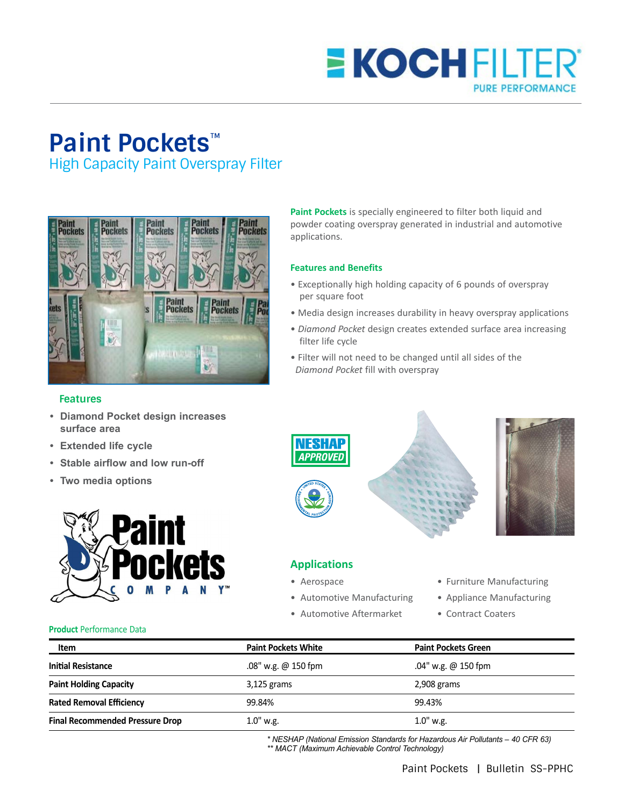## **E KOCHFILTE PURE PERFORMANCE**

# **Paint Pockets**™

High Capacity Paint Overspray Filter



### **Features**

- **• Diamond Pocket design increases surface area**
- **• Extended life cycle**
- **• Stable airflow and low run-off**
- **• Two media options**



**Paint Pockets** is specially engineered to filter both liquid and powder coating overspray generated in industrial and automotive applications.

#### **Features and Benefits**

- Exceptionally high holding capacity of 6 pounds of overspray per square foot
- Media design increases durability in heavy overspray applications
- *Diamond Pocket* design creates extended surface area increasing filter life cycle
- Filter will not need to be changed until all sides of the *Diamond Pocket* fill with overspray



## **Applications**

- 
- 
- Automotive Aftermarket Contract Coaters
- Aerospace  **Furniture Manufacturing**
- Automotive Manufacturing Appliance Manufacturing
	-

#### **Product** Performance Data

| Item                                   | <b>Paint Pockets White</b> | <b>Paint Pockets Green</b> |
|----------------------------------------|----------------------------|----------------------------|
| <b>Initial Resistance</b>              | .08" w.g. $@$ 150 fpm      | .04" w.g. @ 150 fpm        |
| <b>Paint Holding Capacity</b>          | $3,125$ grams              | 2,908 grams                |
| <b>Rated Removal Efficiency</b>        | 99.84%                     | 99.43%                     |
| <b>Final Recommended Pressure Drop</b> | $1.0"$ w.g.                | $1.0"$ w.g.                |

*\* NESHAP (National Emission Standards for Hazardous Air Pollutants – 40 CFR 63) \*\* MACT (Maximum Achievable Control Technology)*